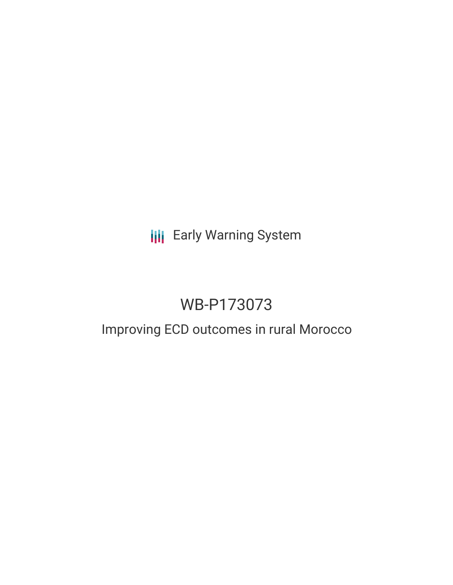## **III** Early Warning System

# WB-P173073

### Improving ECD outcomes in rural Morocco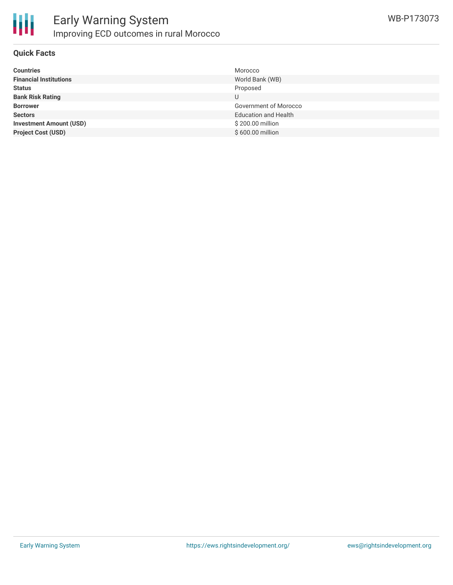

#### **Quick Facts**

| <b>Countries</b>               | Morocco                     |
|--------------------------------|-----------------------------|
| <b>Financial Institutions</b>  | World Bank (WB)             |
| <b>Status</b>                  | Proposed                    |
| <b>Bank Risk Rating</b>        |                             |
| <b>Borrower</b>                | Government of Morocco       |
| <b>Sectors</b>                 | <b>Education and Health</b> |
| <b>Investment Amount (USD)</b> | \$200.00 million            |
| <b>Project Cost (USD)</b>      | \$600.00 million            |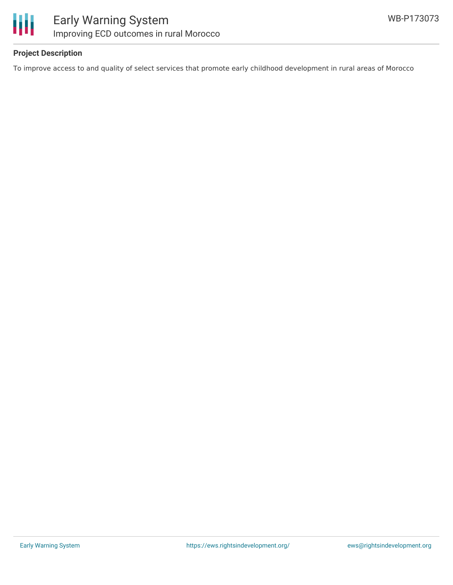

#### **Project Description**

To improve access to and quality of select services that promote early childhood development in rural areas of Morocco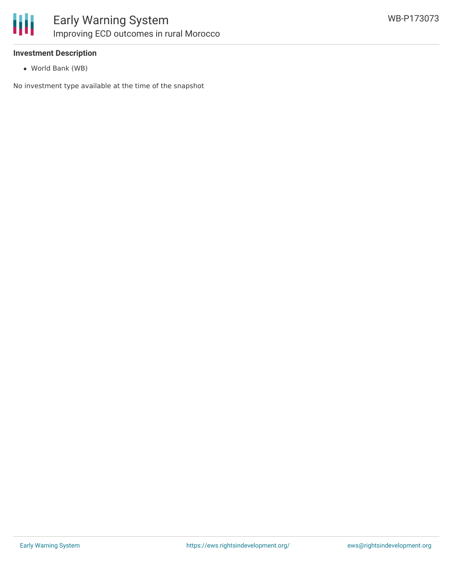

#### **Investment Description**

World Bank (WB)

No investment type available at the time of the snapshot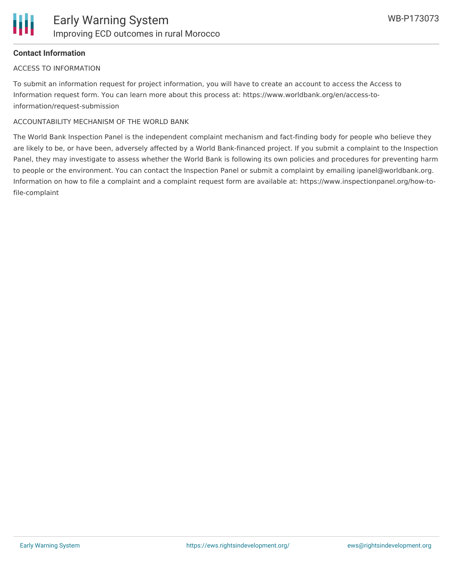#### **Contact Information**

#### ACCESS TO INFORMATION

To submit an information request for project information, you will have to create an account to access the Access to Information request form. You can learn more about this process at: https://www.worldbank.org/en/access-toinformation/request-submission

#### ACCOUNTABILITY MECHANISM OF THE WORLD BANK

The World Bank Inspection Panel is the independent complaint mechanism and fact-finding body for people who believe they are likely to be, or have been, adversely affected by a World Bank-financed project. If you submit a complaint to the Inspection Panel, they may investigate to assess whether the World Bank is following its own policies and procedures for preventing harm to people or the environment. You can contact the Inspection Panel or submit a complaint by emailing ipanel@worldbank.org. Information on how to file a complaint and a complaint request form are available at: https://www.inspectionpanel.org/how-tofile-complaint